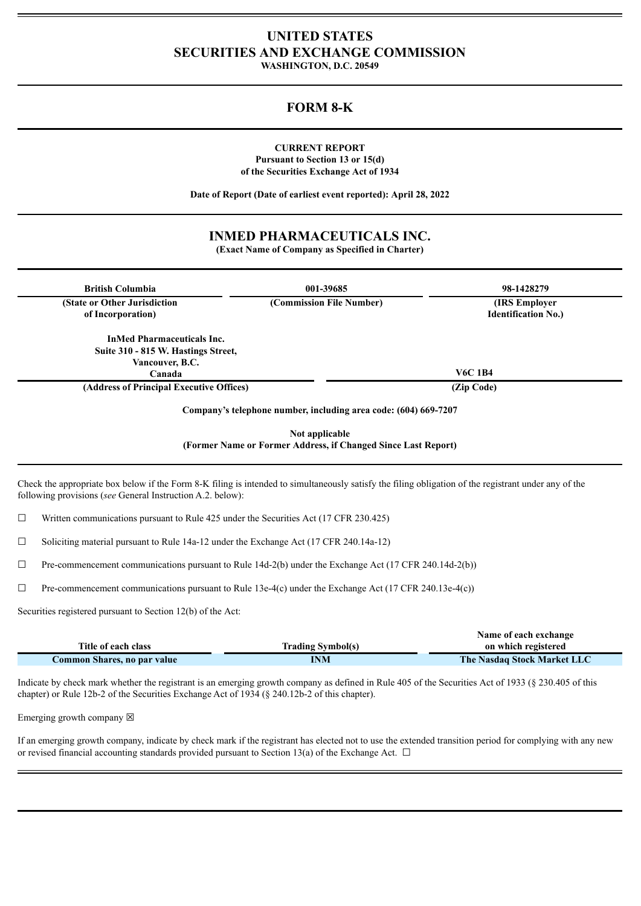# **UNITED STATES SECURITIES AND EXCHANGE COMMISSION**

**WASHINGTON, D.C. 20549**

# **FORM 8-K**

### **CURRENT REPORT Pursuant to Section 13 or 15(d) of the Securities Exchange Act of 1934**

**Date of Report (Date of earliest event reported): April 28, 2022**

## **INMED PHARMACEUTICALS INC.**

**(Exact Name of Company as Specified in Charter)**

| <b>British Columbia</b>                  | 001-39685                                                       | 98-1428279                 |
|------------------------------------------|-----------------------------------------------------------------|----------------------------|
| (State or Other Jurisdiction)            | (Commission File Number)                                        | (IRS Employer)             |
| of Incorporation)                        |                                                                 | <b>Identification No.)</b> |
| <b>InMed Pharmaceuticals Inc.</b>        |                                                                 |                            |
| Suite 310 - 815 W. Hastings Street,      |                                                                 |                            |
| Vancouver, B.C.                          |                                                                 |                            |
| Canada                                   |                                                                 | <b>V6C 1B4</b>             |
| (Address of Principal Executive Offices) |                                                                 | (Zip Code)                 |
|                                          | Company's telephone number, including area code: (604) 669-7207 |                            |
|                                          | Not applicable                                                  |                            |
|                                          | (Former Name or Former Address, if Changed Since Last Report)   |                            |

following provisions (*see* General Instruction A.2. below):

 $\Box$  Written communications pursuant to Rule 425 under the Securities Act (17 CFR 230.425)

☐ Soliciting material pursuant to Rule 14a-12 under the Exchange Act (17 CFR 240.14a-12)

 $\Box$  Pre-commencement communications pursuant to Rule 14d-2(b) under the Exchange Act (17 CFR 240.14d-2(b))

 $\Box$  Pre-commencement communications pursuant to Rule 13e-4(c) under the Exchange Act (17 CFR 240.13e-4(c))

Securities registered pursuant to Section 12(b) of the Act:

|                             |                          | Name of each exchange       |
|-----------------------------|--------------------------|-----------------------------|
| Title of each class         | <b>Trading Symbol(s)</b> | on which registered         |
| Common Shares, no par value | INM                      | The Nasdaq Stock Market LLC |

Indicate by check mark whether the registrant is an emerging growth company as defined in Rule 405 of the Securities Act of 1933 (§ 230.405 of this chapter) or Rule 12b-2 of the Securities Exchange Act of 1934 (§ 240.12b-2 of this chapter).

Emerging growth company  $\boxtimes$ 

If an emerging growth company, indicate by check mark if the registrant has elected not to use the extended transition period for complying with any new or revised financial accounting standards provided pursuant to Section 13(a) of the Exchange Act.  $\Box$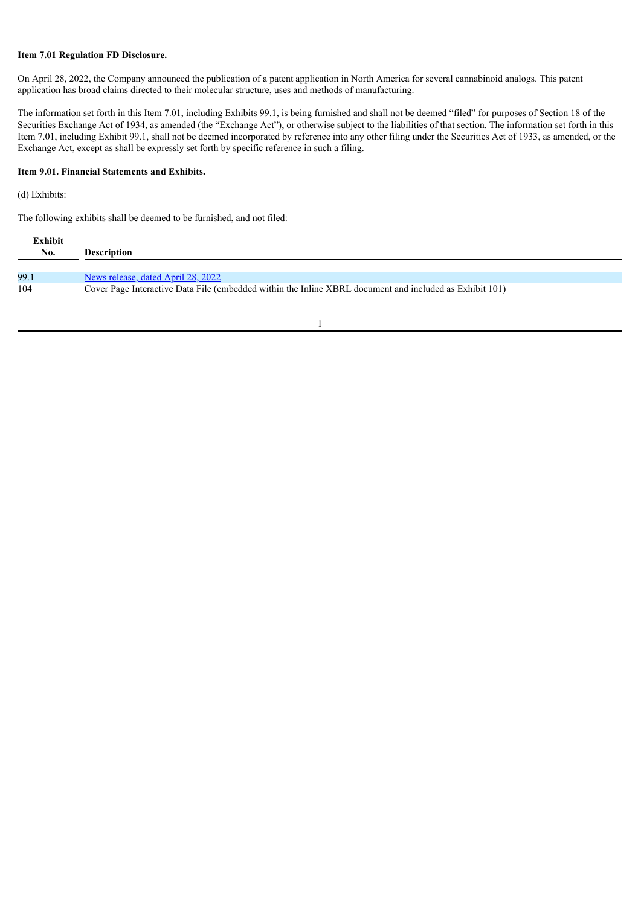### **Item 7.01 Regulation FD Disclosure.**

On April 28, 2022, the Company announced the publication of a patent application in North America for several cannabinoid analogs. This patent application has broad claims directed to their molecular structure, uses and methods of manufacturing.

The information set forth in this Item 7.01, including Exhibits 99.1, is being furnished and shall not be deemed "filed" for purposes of Section 18 of the Securities Exchange Act of 1934, as amended (the "Exchange Act"), or otherwise subject to the liabilities of that section. The information set forth in this Item 7.01, including Exhibit 99.1, shall not be deemed incorporated by reference into any other filing under the Securities Act of 1933, as amended, or the Exchange Act, except as shall be expressly set forth by specific reference in such a filing.

### **Item 9.01. Financial Statements and Exhibits.**

### (d) Exhibits:

The following exhibits shall be deemed to be furnished, and not filed:

| Exhibit<br>No. | <b>Description</b>                                                                                      |
|----------------|---------------------------------------------------------------------------------------------------------|
| 99.1           | News release, dated April 28, 2022                                                                      |
| 104            | Cover Page Interactive Data File (embedded within the Inline XBRL document and included as Exhibit 101) |

1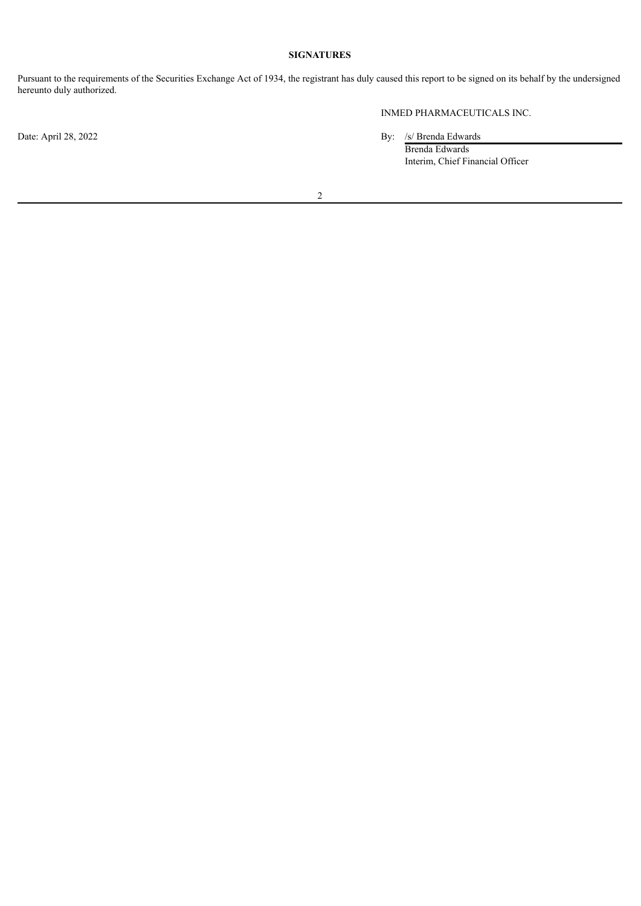### **SIGNATURES**

Pursuant to the requirements of the Securities Exchange Act of 1934, the registrant has duly caused this report to be signed on its behalf by the undersigned hereunto duly authorized.

INMED PHARMACEUTICALS INC.

Date: April 28, 2022 By: /s/ Brenda Edwards

Brenda Edwards Interim, Chief Financial Officer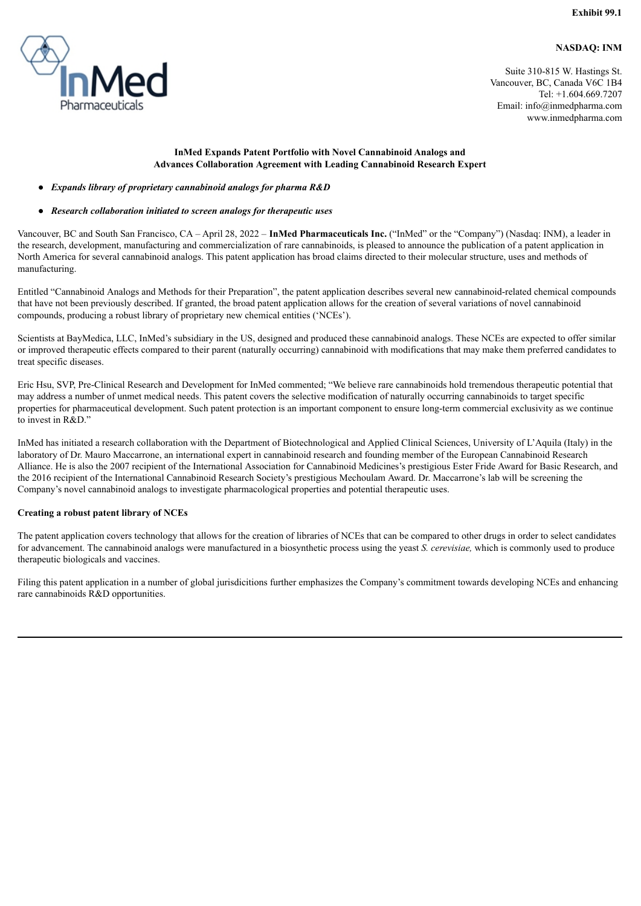### **NASDAQ: INM**

<span id="page-3-0"></span>

Suite 310-815 W. Hastings St. Vancouver, BC, Canada V6C 1B4 Tel: +1.604.669.7207 Email: info@inmedpharma.com www.inmedpharma.com

### **InMed Expands Patent Portfolio with Novel Cannabinoid Analogs and Advances Collaboration Agreement with Leading Cannabinoid Research Expert**

### ● *Expands library of proprietary cannabinoid analogs for pharma R&D*

#### ● *Research collaboration initiated to screen analogs for therapeutic uses*

Vancouver, BC and South San Francisco, CA – April 28, 2022 – **InMed Pharmaceuticals Inc.** ("InMed" or the "Company") (Nasdaq: INM), a leader in the research, development, manufacturing and commercialization of rare cannabinoids, is pleased to announce the publication of a patent application in North America for several cannabinoid analogs. This patent application has broad claims directed to their molecular structure, uses and methods of manufacturing.

Entitled "Cannabinoid Analogs and Methods for their Preparation", the patent application describes several new cannabinoid-related chemical compounds that have not been previously described. If granted, the broad patent application allows for the creation of several variations of novel cannabinoid compounds, producing a robust library of proprietary new chemical entities ('NCEs').

Scientists at BayMedica, LLC, InMed's subsidiary in the US, designed and produced these cannabinoid analogs. These NCEs are expected to offer similar or improved therapeutic effects compared to their parent (naturally occurring) cannabinoid with modifications that may make them preferred candidates to treat specific diseases.

Eric Hsu, SVP, Pre-Clinical Research and Development for InMed commented; "We believe rare cannabinoids hold tremendous therapeutic potential that may address a number of unmet medical needs. This patent covers the selective modification of naturally occurring cannabinoids to target specific properties for pharmaceutical development. Such patent protection is an important component to ensure long-term commercial exclusivity as we continue to invest in R&D."

InMed has initiated a research collaboration with the Department of Biotechnological and Applied Clinical Sciences, University of L'Aquila (Italy) in the laboratory of Dr. Mauro Maccarrone, an international expert in cannabinoid research and founding member of the European Cannabinoid Research Alliance. He is also the 2007 recipient of the International Association for Cannabinoid Medicines's prestigious Ester Fride Award for Basic Research, and the 2016 recipient of the International Cannabinoid Research Society's prestigious Mechoulam Award. Dr. Maccarrone's lab will be screening the Company's novel cannabinoid analogs to investigate pharmacological properties and potential therapeutic uses.

### **Creating a robust patent library of NCEs**

The patent application covers technology that allows for the creation of libraries of NCEs that can be compared to other drugs in order to select candidates for advancement. The cannabinoid analogs were manufactured in a biosynthetic process using the yeast *S. cerevisiae,* which is commonly used to produce therapeutic biologicals and vaccines.

Filing this patent application in a number of global jurisdicitions further emphasizes the Company's commitment towards developing NCEs and enhancing rare cannabinoids R&D opportunities.